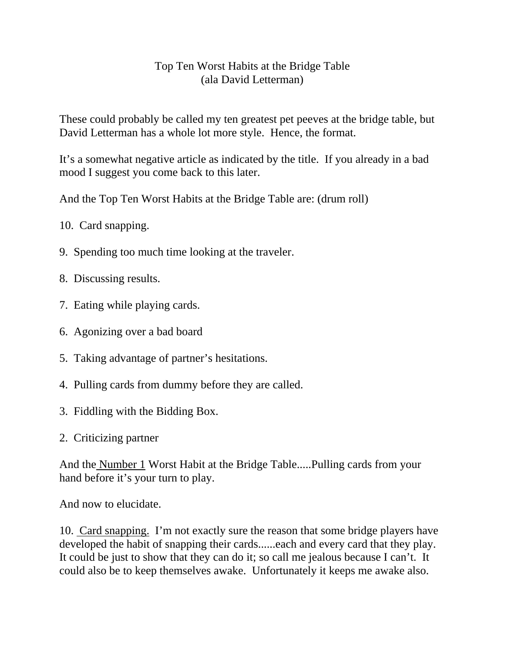## Top Ten Worst Habits at the Bridge Table (ala David Letterman)

These could probably be called my ten greatest pet peeves at the bridge table, but David Letterman has a whole lot more style. Hence, the format.

It's a somewhat negative article as indicated by the title. If you already in a bad mood I suggest you come back to this later.

And the Top Ten Worst Habits at the Bridge Table are: (drum roll)

- 10. Card snapping.
- 9. Spending too much time looking at the traveler.
- 8. Discussing results.
- 7. Eating while playing cards.
- 6. Agonizing over a bad board
- 5. Taking advantage of partner's hesitations.
- 4. Pulling cards from dummy before they are called.
- 3. Fiddling with the Bidding Box.
- 2. Criticizing partner

And the Number 1 Worst Habit at the Bridge Table.....Pulling cards from your hand before it's your turn to play.

And now to elucidate.

10. Card snapping. I'm not exactly sure the reason that some bridge players have developed the habit of snapping their cards......each and every card that they play. It could be just to show that they can do it; so call me jealous because I can't. It could also be to keep themselves awake. Unfortunately it keeps me awake also.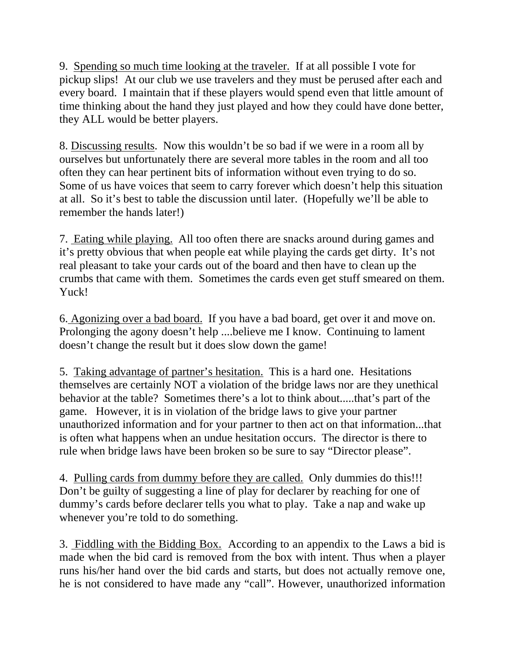9. Spending so much time looking at the traveler. If at all possible I vote for pickup slips! At our club we use travelers and they must be perused after each and every board. I maintain that if these players would spend even that little amount of time thinking about the hand they just played and how they could have done better, they ALL would be better players.

8. Discussing results. Now this wouldn't be so bad if we were in a room all by ourselves but unfortunately there are several more tables in the room and all too often they can hear pertinent bits of information without even trying to do so. Some of us have voices that seem to carry forever which doesn't help this situation at all. So it's best to table the discussion until later. (Hopefully we'll be able to remember the hands later!)

7. Eating while playing. All too often there are snacks around during games and it's pretty obvious that when people eat while playing the cards get dirty. It's not real pleasant to take your cards out of the board and then have to clean up the crumbs that came with them. Sometimes the cards even get stuff smeared on them. Yuck!

6. Agonizing over a bad board. If you have a bad board, get over it and move on. Prolonging the agony doesn't help ....believe me I know. Continuing to lament doesn't change the result but it does slow down the game!

5. Taking advantage of partner's hesitation. This is a hard one. Hesitations themselves are certainly NOT a violation of the bridge laws nor are they unethical behavior at the table? Sometimes there's a lot to think about.....that's part of the game. However, it is in violation of the bridge laws to give your partner unauthorized information and for your partner to then act on that information...that is often what happens when an undue hesitation occurs. The director is there to rule when bridge laws have been broken so be sure to say "Director please".

4. Pulling cards from dummy before they are called. Only dummies do this!!! Don't be guilty of suggesting a line of play for declarer by reaching for one of dummy's cards before declarer tells you what to play. Take a nap and wake up whenever you're told to do something.

3. Fiddling with the Bidding Box. According to an appendix to the Laws a bid is made when the bid card is removed from the box with intent. Thus when a player runs his/her hand over the bid cards and starts, but does not actually remove one, he is not considered to have made any "call". However, unauthorized information